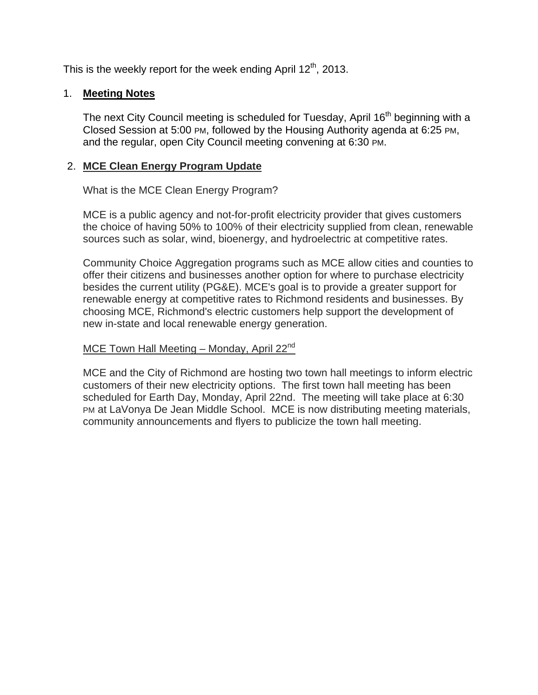This is the weekly report for the week ending April  $12<sup>th</sup>$ , 2013.

## 1. **Meeting Notes**

The next City Council meeting is scheduled for Tuesday, April 16<sup>th</sup> beginning with a Closed Session at 5:00 PM, followed by the Housing Authority agenda at 6:25 PM, and the regular, open City Council meeting convening at 6:30 PM.

## 2. **MCE Clean Energy Program Update**

What is the MCE Clean Energy Program?

MCE is a public agency and not-for-profit electricity provider that gives customers the choice of having 50% to 100% of their electricity supplied from clean, renewable sources such as solar, wind, bioenergy, and hydroelectric at competitive rates.

Community Choice Aggregation programs such as MCE allow cities and counties to offer their citizens and businesses another option for where to purchase electricity besides the current utility (PG&E). MCE's goal is to provide a greater support for renewable energy at competitive rates to Richmond residents and businesses. By choosing MCE, Richmond's electric customers help support the development of new in-state and local renewable energy generation.

### MCE Town Hall Meeting – Monday, April  $22<sup>nd</sup>$

MCE and the City of Richmond are hosting two town hall meetings to inform electric customers of their new electricity options. The first town hall meeting has been scheduled for Earth Day, Monday, April 22nd. The meeting will take place at 6:30 PM at LaVonya De Jean Middle School. MCE is now distributing meeting materials, community announcements and flyers to publicize the town hall meeting.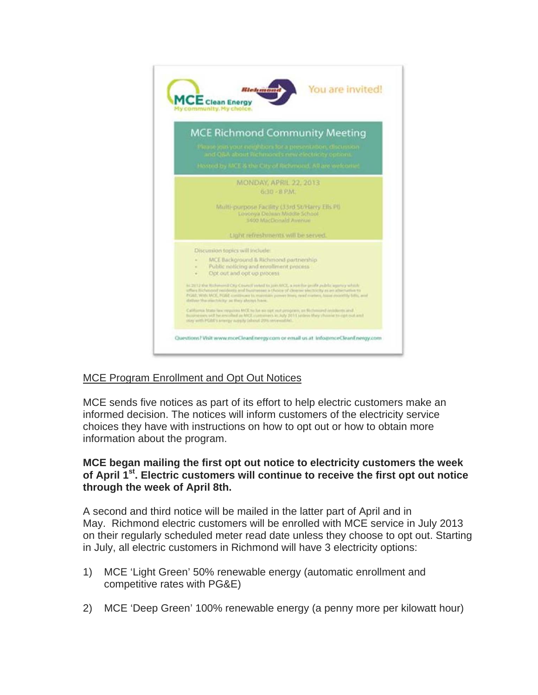

# MCE Program Enrollment and Opt Out Notices

MCE sends five notices as part of its effort to help electric customers make an informed decision. The notices will inform customers of the electricity service choices they have with instructions on how to opt out or how to obtain more information about the program.

### **MCE began mailing the first opt out notice to electricity customers the week of April 1st. Electric customers will continue to receive the first opt out notice through the week of April 8th.**

A second and third notice will be mailed in the latter part of April and in May. Richmond electric customers will be enrolled with MCE service in July 2013 on their regularly scheduled meter read date unless they choose to opt out. Starting in July, all electric customers in Richmond will have 3 electricity options:

- 1) MCE 'Light Green' 50% renewable energy (automatic enrollment and competitive rates with PG&E)
- 2) MCE 'Deep Green' 100% renewable energy (a penny more per kilowatt hour)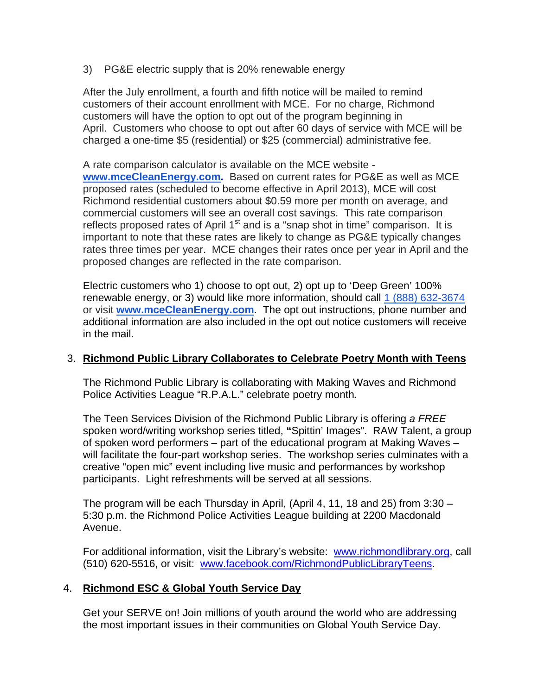3) PG&E electric supply that is 20% renewable energy

After the July enrollment, a fourth and fifth notice will be mailed to remind customers of their account enrollment with MCE. For no charge, Richmond customers will have the option to opt out of the program beginning in April. Customers who choose to opt out after 60 days of service with MCE will be charged a one-time \$5 (residential) or \$25 (commercial) administrative fee.

A rate comparison calculator is available on the MCE website **www.mceCleanEnergy.com.** Based on current rates for PG&E as well as MCE proposed rates (scheduled to become effective in April 2013), MCE will cost Richmond residential customers about \$0.59 more per month on average, and commercial customers will see an overall cost savings. This rate comparison reflects proposed rates of April  $1<sup>st</sup>$  and is a "snap shot in time" comparison. It is important to note that these rates are likely to change as PG&E typically changes rates three times per year. MCE changes their rates once per year in April and the proposed changes are reflected in the rate comparison.

Electric customers who 1) choose to opt out, 2) opt up to 'Deep Green' 100% renewable energy, or 3) would like more information, should call 1 (888) 632-3674 or visit **www.mceCleanEnergy.com**. The opt out instructions, phone number and additional information are also included in the opt out notice customers will receive in the mail.

### 3. **Richmond Public Library Collaborates to Celebrate Poetry Month with Teens**

The Richmond Public Library is collaborating with Making Waves and Richmond Police Activities League "R.P.A.L." celebrate poetry month*.*

The Teen Services Division of the Richmond Public Library is offering *a FREE* spoken word/writing workshop series titled, **"**Spittin' Images". RAW Talent, a group of spoken word performers – part of the educational program at Making Waves – will facilitate the four-part workshop series. The workshop series culminates with a creative "open mic" event including live music and performances by workshop participants. Light refreshments will be served at all sessions.

The program will be each Thursday in April, (April 4, 11, 18 and 25) from 3:30 – 5:30 p.m. the Richmond Police Activities League building at 2200 Macdonald Avenue.

For additional information, visit the Library's website: www.richmondlibrary.org, call (510) 620-5516, or visit: www.facebook.com/RichmondPublicLibraryTeens.

# 4. **Richmond ESC & Global Youth Service Day**

Get your SERVE on! Join millions of youth around the world who are addressing the most important issues in their communities on Global Youth Service Day.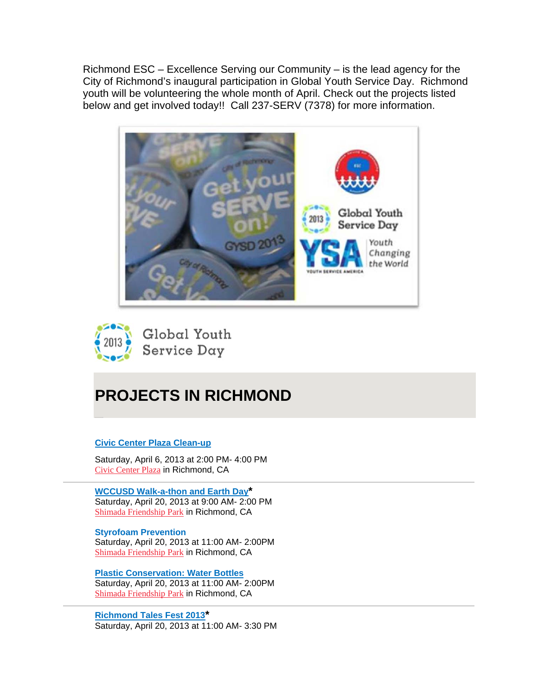Richmond ESC – Excellence Serving our Community – is the lead agency for the City of Richmond's inaugural participation in Global Youth Service Day. Richmond youth will be volunteering the whole month of April. Check out the projects listed below and get involved today!! Call 237-SERV (7378) for more information.



Global Youth Service Day

# **PROJECTS IN RICHMOND**

#### **Civic Center Plaza Clean-up**

Saturday, April 6, 2013 at 2:00 PM- 4:00 PM Civic Center Plaza in Richmond, CA

**WCCUSD Walk-a-thon and Earth Day\*** Saturday, April 20, 2013 at 9:00 AM- 2:00 PM Shimada Friendship Park in Richmond, CA

**Styrofoam Prevention**  Saturday, April 20, 2013 at 11:00 AM- 2:00PM Shimada Friendship Park in Richmond, CA

**Plastic Conservation: Water Bottles**  Saturday, April 20, 2013 at 11:00 AM- 2:00PM Shimada Friendship Park in Richmond, CA

**Richmond Tales Fest 2013\*** Saturday, April 20, 2013 at 11:00 AM- 3:30 PM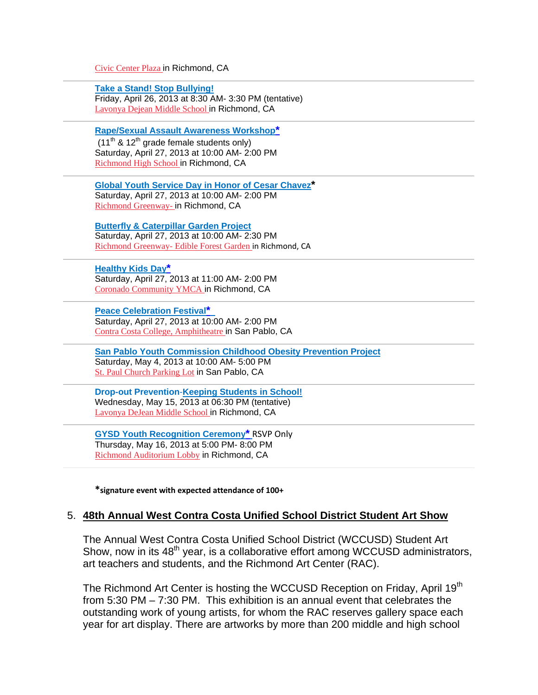Civic Center Plaza in Richmond, CA

**Take a Stand! Stop Bullying!** Friday, April 26, 2013 at 8:30 AM- 3:30 PM (tentative) Lavonya Dejean Middle School in Richmond, CA

**Rape/Sexual Assault Awareness Workshop\***   $(11<sup>th</sup>$  & 12<sup>th</sup> grade female students only) Saturday, April 27, 2013 at 10:00 AM- 2:00 PM Richmond High School in Richmond, CA

**Global Youth Service Day in Honor of Cesar Chavez\*** Saturday, April 27, 2013 at 10:00 AM- 2:00 PM

Richmond Greenway- in Richmond, CA

**Butterfly & Caterpillar Garden Project** Saturday, April 27, 2013 at 10:00 AM- 2:30 PM Richmond Greenway- Edible Forest Garden in Richmond, CA

### **Healthy Kids Day\***

Saturday, April 27, 2013 at 11:00 AM- 2:00 PM Coronado Community YMCA in Richmond, CA

**Peace Celebration Festival\*** 

Saturday, April 27, 2013 at 10:00 AM- 2:00 PM Contra Costa College, Amphitheatre in San Pablo, CA

**San Pablo Youth Commission Childhood Obesity Prevention Project** Saturday, May 4, 2013 at 10:00 AM- 5:00 PM St. Paul Church Parking Lot in San Pablo, CA

**Drop-out Prevention**-**Keeping Students in School!** Wednesday, May 15, 2013 at 06:30 PM (tentative) Lavonya DeJean Middle School in Richmond, CA

**GYSD Youth Recognition Ceremony\*** RSVP Only Thursday, May 16, 2013 at 5:00 PM- 8:00 PM Richmond Auditorium Lobby in Richmond, CA

**\*signature event with expected attendance of 100+**

#### 5. **48th Annual West Contra Costa Unified School District Student Art Show**

The Annual West Contra Costa Unified School District (WCCUSD) Student Art Show, now in its 48<sup>th</sup> year, is a collaborative effort among WCCUSD administrators, art teachers and students, and the Richmond Art Center (RAC).

The Richmond Art Center is hosting the WCCUSD Reception on Friday, April 19<sup>th</sup> from 5:30 PM – 7:30 PM. This exhibition is an annual event that celebrates the outstanding work of young artists, for whom the RAC reserves gallery space each year for art display. There are artworks by more than 200 middle and high school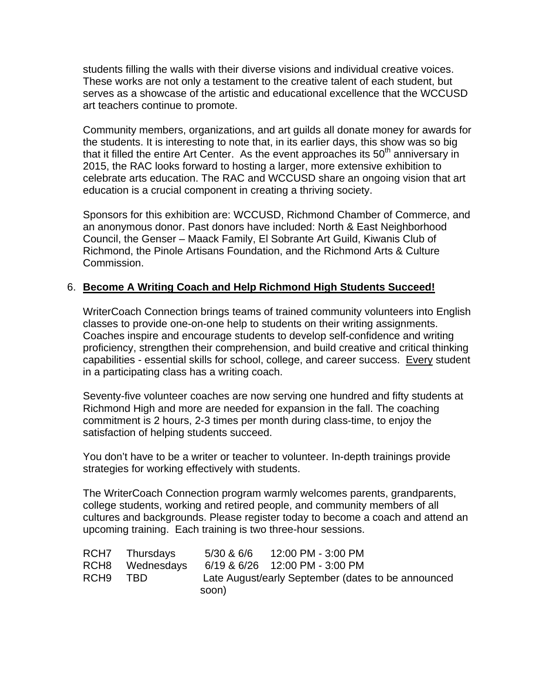students filling the walls with their diverse visions and individual creative voices. These works are not only a testament to the creative talent of each student, but serves as a showcase of the artistic and educational excellence that the WCCUSD art teachers continue to promote.

Community members, organizations, and art guilds all donate money for awards for the students. It is interesting to note that, in its earlier days, this show was so big that it filled the entire Art Center. As the event approaches its  $50<sup>th</sup>$  anniversary in 2015, the RAC looks forward to hosting a larger, more extensive exhibition to celebrate arts education. The RAC and WCCUSD share an ongoing vision that art education is a crucial component in creating a thriving society.

Sponsors for this exhibition are: WCCUSD, Richmond Chamber of Commerce, and an anonymous donor. Past donors have included: North & East Neighborhood Council, the Genser – Maack Family, El Sobrante Art Guild, Kiwanis Club of Richmond, the Pinole Artisans Foundation, and the Richmond Arts & Culture Commission.

### 6. **Become A Writing Coach and Help Richmond High Students Succeed!**

WriterCoach Connection brings teams of trained community volunteers into English classes to provide one-on-one help to students on their writing assignments. Coaches inspire and encourage students to develop self-confidence and writing proficiency, strengthen their comprehension, and build creative and critical thinking capabilities - essential skills for school, college, and career success. Every student in a participating class has a writing coach.

Seventy-five volunteer coaches are now serving one hundred and fifty students at Richmond High and more are needed for expansion in the fall. The coaching commitment is 2 hours, 2-3 times per month during class-time, to enjoy the satisfaction of helping students succeed.

You don't have to be a writer or teacher to volunteer. In-depth trainings provide strategies for working effectively with students.

The WriterCoach Connection program warmly welcomes parents, grandparents, college students, working and retired people, and community members of all cultures and backgrounds. Please register today to become a coach and attend an upcoming training. Each training is two three-hour sessions.

|      | RCH7 Thursdays  | 12:00 PM - 3:00 PM<br>5/30 & 6/6                   |
|------|-----------------|----------------------------------------------------|
|      | RCH8 Wednesdays | 6/19 & 6/26 12:00 PM - 3:00 PM                     |
| RCH9 | TBD             | Late August/early September (dates to be announced |
|      |                 | soon)                                              |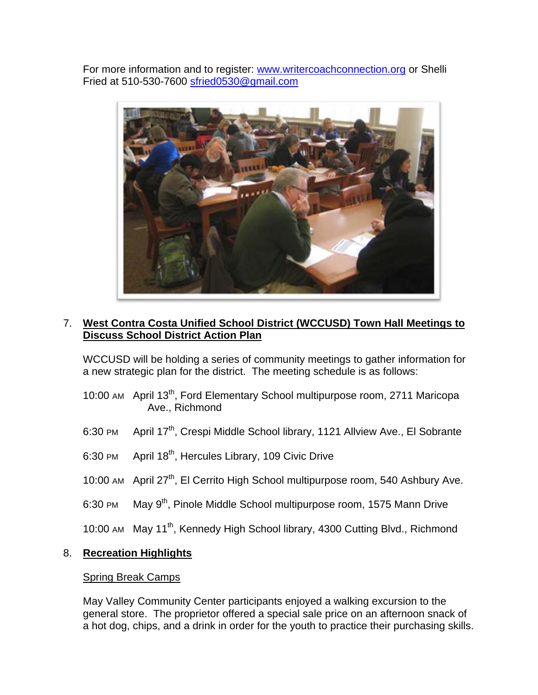For more information and to register: www.writercoachconnection.org or Shelli Fried at 510-530-7600 sfried0530@gmail.com



# 7. **West Contra Costa Unified School District (WCCUSD) Town Hall Meetings to Discuss School District Action Plan**

WCCUSD will be holding a series of community meetings to gather information for a new strategic plan for the district. The meeting schedule is as follows:

- 10:00 AM April 13<sup>th</sup>, Ford Elementary School multipurpose room, 2711 Maricopa Ave., Richmond
- 6:30 PM April 17<sup>th</sup>, Crespi Middle School library, 1121 Allview Ave., El Sobrante
- 6:30 PM April 18<sup>th</sup>, Hercules Library, 109 Civic Drive
- 10:00 AM April 27<sup>th</sup>, El Cerrito High School multipurpose room, 540 Ashbury Ave.
- 6:30 PM May 9<sup>th</sup>, Pinole Middle School multipurpose room, 1575 Mann Drive
- 10:00 AM May 11<sup>th</sup>, Kennedy High School library, 4300 Cutting Blvd., Richmond

### 8. **Recreation Highlights**

#### Spring Break Camps

May Valley Community Center participants enjoyed a walking excursion to the general store. The proprietor offered a special sale price on an afternoon snack of a hot dog, chips, and a drink in order for the youth to practice their purchasing skills.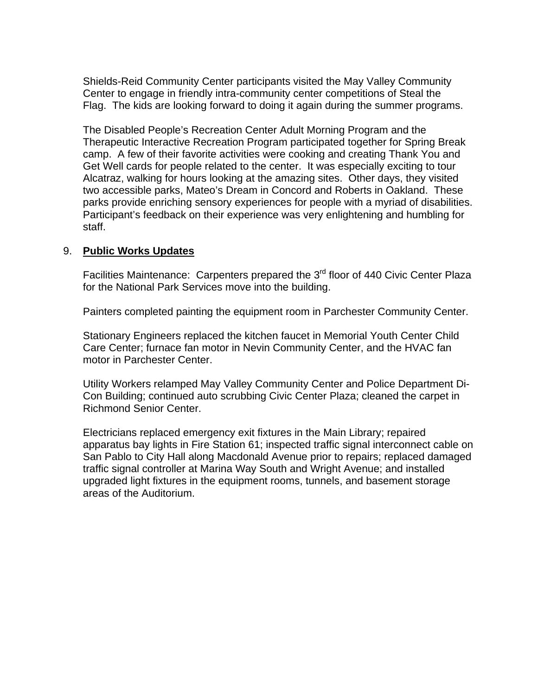Shields-Reid Community Center participants visited the May Valley Community Center to engage in friendly intra-community center competitions of Steal the Flag. The kids are looking forward to doing it again during the summer programs.

The Disabled People's Recreation Center Adult Morning Program and the Therapeutic Interactive Recreation Program participated together for Spring Break camp. A few of their favorite activities were cooking and creating Thank You and Get Well cards for people related to the center. It was especially exciting to tour Alcatraz, walking for hours looking at the amazing sites. Other days, they visited two accessible parks, Mateo's Dream in Concord and Roberts in Oakland. These parks provide enriching sensory experiences for people with a myriad of disabilities. Participant's feedback on their experience was very enlightening and humbling for staff.

#### 9. **Public Works Updates**

Facilities Maintenance: Carpenters prepared the 3<sup>rd</sup> floor of 440 Civic Center Plaza for the National Park Services move into the building.

Painters completed painting the equipment room in Parchester Community Center.

Stationary Engineers replaced the kitchen faucet in Memorial Youth Center Child Care Center; furnace fan motor in Nevin Community Center, and the HVAC fan motor in Parchester Center.

Utility Workers relamped May Valley Community Center and Police Department Di-Con Building; continued auto scrubbing Civic Center Plaza; cleaned the carpet in Richmond Senior Center.

Electricians replaced emergency exit fixtures in the Main Library; repaired apparatus bay lights in Fire Station 61; inspected traffic signal interconnect cable on San Pablo to City Hall along Macdonald Avenue prior to repairs; replaced damaged traffic signal controller at Marina Way South and Wright Avenue; and installed upgraded light fixtures in the equipment rooms, tunnels, and basement storage areas of the Auditorium.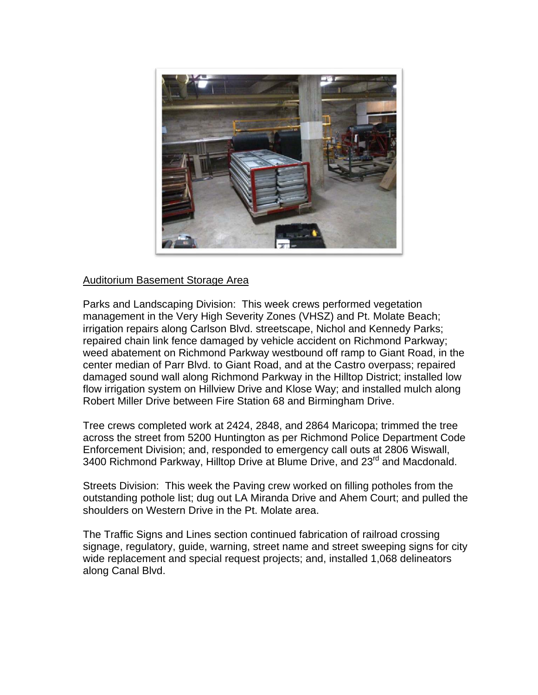

### Auditorium Basement Storage Area

Parks and Landscaping Division: This week crews performed vegetation management in the Very High Severity Zones (VHSZ) and Pt. Molate Beach; irrigation repairs along Carlson Blvd. streetscape, Nichol and Kennedy Parks; repaired chain link fence damaged by vehicle accident on Richmond Parkway; weed abatement on Richmond Parkway westbound off ramp to Giant Road, in the center median of Parr Blvd. to Giant Road, and at the Castro overpass; repaired damaged sound wall along Richmond Parkway in the Hilltop District; installed low flow irrigation system on Hillview Drive and Klose Way; and installed mulch along Robert Miller Drive between Fire Station 68 and Birmingham Drive.

Tree crews completed work at 2424, 2848, and 2864 Maricopa; trimmed the tree across the street from 5200 Huntington as per Richmond Police Department Code Enforcement Division; and, responded to emergency call outs at 2806 Wiswall, 3400 Richmond Parkway, Hilltop Drive at Blume Drive, and 23<sup>rd</sup> and Macdonald.

Streets Division: This week the Paving crew worked on filling potholes from the outstanding pothole list; dug out LA Miranda Drive and Ahem Court; and pulled the shoulders on Western Drive in the Pt. Molate area.

The Traffic Signs and Lines section continued fabrication of railroad crossing signage, regulatory, guide, warning, street name and street sweeping signs for city wide replacement and special request projects; and, installed 1,068 delineators along Canal Blvd.